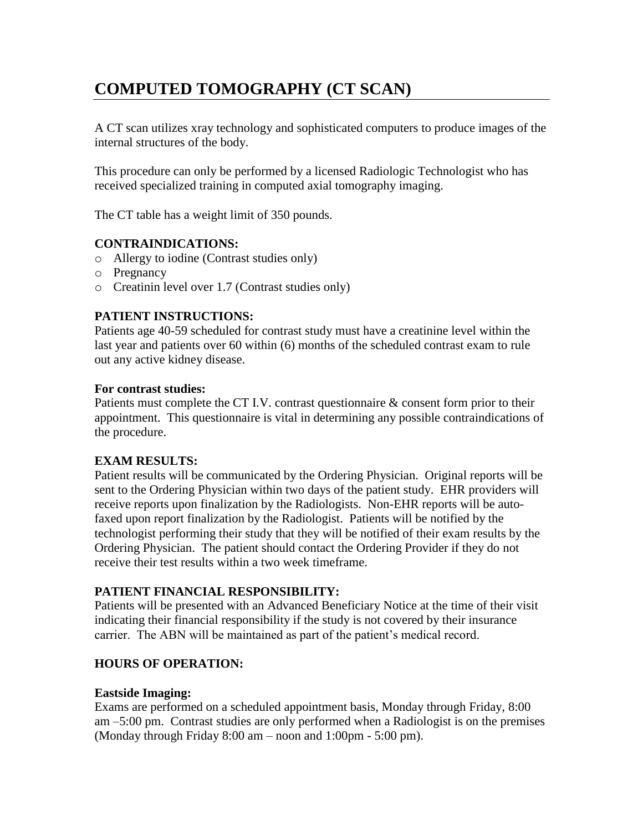# **COMPUTED TOMOGRAPHY (CT SCAN)**

A CT scan utilizes xray technology and sophisticated computers to produce images of the internal structures of the body.

This procedure can only be performed by a licensed Radiologic Technologist who has received specialized training in computed axial tomography imaging.

The CT table has a weight limit of 350 pounds.

#### **CONTRAINDICATIONS:**

- o Allergy to iodine (Contrast studies only)
- o Pregnancy
- o Creatinin level over 1.7 (Contrast studies only)

### **PATIENT INSTRUCTIONS:**

Patients age 40-59 scheduled for contrast study must have a creatinine level within the last year and patients over 60 within (6) months of the scheduled contrast exam to rule out any active kidney disease.

#### **For contrast studies:**

Patients must complete the CT I.V. contrast questionnaire & consent form prior to their appointment. This questionnaire is vital in determining any possible contraindications of the procedure.

### **EXAM RESULTS:**

Patient results will be communicated by the Ordering Physician. Original reports will be sent to the Ordering Physician within two days of the patient study. EHR providers will receive reports upon finalization by the Radiologists. Non-EHR reports will be autofaxed upon report finalization by the Radiologist. Patients will be notified by the technologist performing their study that they will be notified of their exam results by the Ordering Physician. The patient should contact the Ordering Provider if they do not receive their test results within a two week timeframe.

### **PATIENT FINANCIAL RESPONSIBILITY:**

Patients will be presented with an Advanced Beneficiary Notice at the time of their visit indicating their financial responsibility if the study is not covered by their insurance carrier. The ABN will be maintained as part of the patient's medical record.

# **HOURS OF OPERATION:**

#### **Eastside Imaging:**

Exams are performed on a scheduled appointment basis, Monday through Friday, 8:00 am –5:00 pm. Contrast studies are only performed when a Radiologist is on the premises (Monday through Friday 8:00 am – noon and 1:00pm - 5:00 pm).